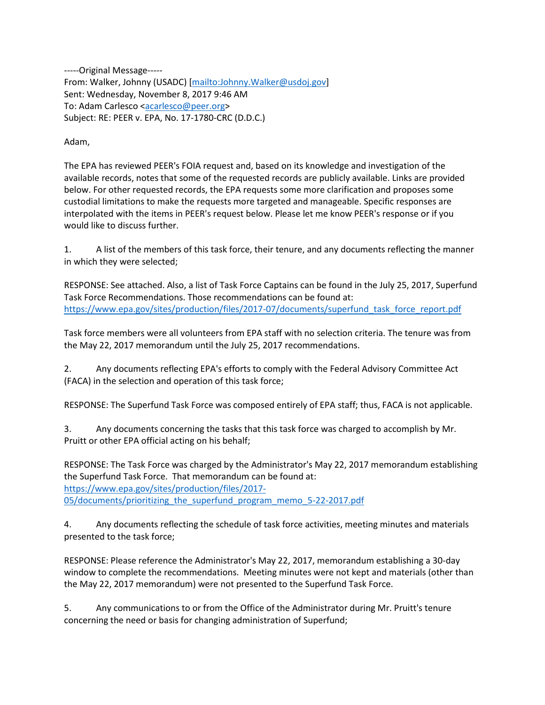-----Original Message----- From: Walker, Johnny (USADC) [\[mailto:Johnny.Walker@usdoj.gov\]](mailto:Johnny.Walker@usdoj.gov) Sent: Wednesday, November 8, 2017 9:46 AM To: Adam Carlesco [<acarlesco@peer.org>](mailto:acarlesco@peer.org) Subject: RE: PEER v. EPA, No. 17-1780-CRC (D.D.C.)

## Adam,

The EPA has reviewed PEER's FOIA request and, based on its knowledge and investigation of the available records, notes that some of the requested records are publicly available. Links are provided below. For other requested records, the EPA requests some more clarification and proposes some custodial limitations to make the requests more targeted and manageable. Specific responses are interpolated with the items in PEER's request below. Please let me know PEER's response or if you would like to discuss further.

1. A list of the members of this task force, their tenure, and any documents reflecting the manner in which they were selected;

RESPONSE: See attached. Also, a list of Task Force Captains can be found in the July 25, 2017, Superfund Task Force Recommendations. Those recommendations can be found at: [https://www.epa.gov/sites/production/files/2017-07/documents/superfund\\_task\\_force\\_report.pdf](https://www.epa.gov/sites/production/files/2017-07/documents/superfund_task_force_report.pdf)

Task force members were all volunteers from EPA staff with no selection criteria. The tenure was from the May 22, 2017 memorandum until the July 25, 2017 recommendations.

2. Any documents reflecting EPA's efforts to comply with the Federal Advisory Committee Act (FACA) in the selection and operation of this task force;

RESPONSE: The Superfund Task Force was composed entirely of EPA staff; thus, FACA is not applicable.

3. Any documents concerning the tasks that this task force was charged to accomplish by Mr. Pruitt or other EPA official acting on his behalf;

RESPONSE: The Task Force was charged by the Administrator's May 22, 2017 memorandum establishing the Superfund Task Force. That memorandum can be found at: [https://www.epa.gov/sites/production/files/2017-](https://www.epa.gov/sites/production/files/2017-05/documents/prioritizing_the_superfund_program_memo_5-22-2017.pdf) [05/documents/prioritizing\\_the\\_superfund\\_program\\_memo\\_5-22-2017.pdf](https://www.epa.gov/sites/production/files/2017-05/documents/prioritizing_the_superfund_program_memo_5-22-2017.pdf)

4. Any documents reflecting the schedule of task force activities, meeting minutes and materials presented to the task force;

RESPONSE: Please reference the Administrator's May 22, 2017, memorandum establishing a 30-day window to complete the recommendations. Meeting minutes were not kept and materials (other than the May 22, 2017 memorandum) were not presented to the Superfund Task Force.

5. Any communications to or from the Office of the Administrator during Mr. Pruitt's tenure concerning the need or basis for changing administration of Superfund;